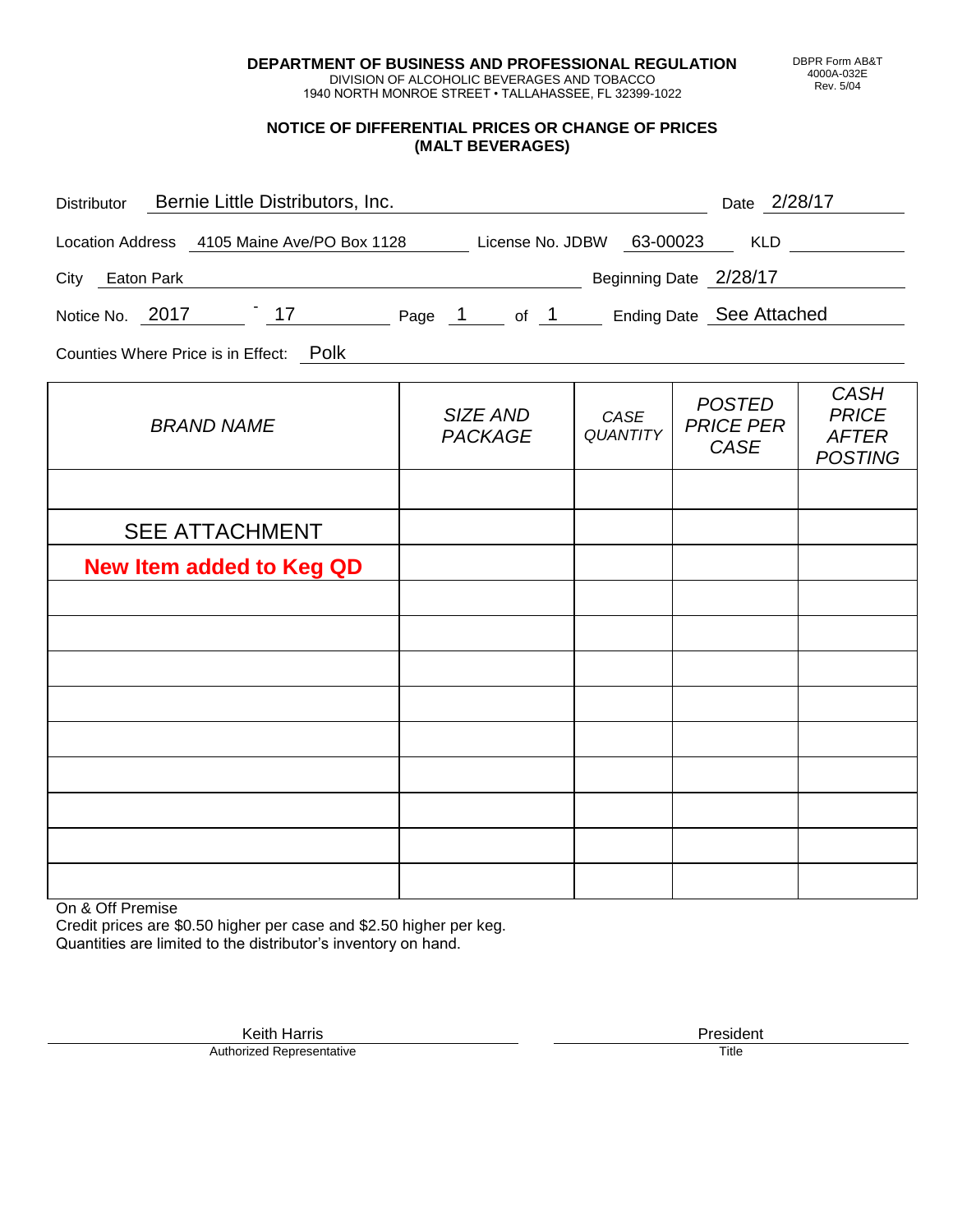**DEPARTMENT OF BUSINESS AND PROFESSIONAL REGULATION** DIVISION OF ALCOHOLIC BEVERAGES AND TOBACCO

1940 NORTH MONROE STREET • TALLAHASSEE, FL 32399-1022

## **NOTICE OF DIFFERENTIAL PRICES OR CHANGE OF PRICES (MALT BEVERAGES)**

| Bernie Little Distributors, Inc.<br><b>Distributor</b>              | Date 2/28/17 |                           |                        |                             |  |  |  |  |  |  |
|---------------------------------------------------------------------|--------------|---------------------------|------------------------|-----------------------------|--|--|--|--|--|--|
| Location Address 4105 Maine Ave/PO Box 1128                         |              | License No. JDBW 63-00023 | KLD                    |                             |  |  |  |  |  |  |
| Eaton Park<br>City                                                  |              |                           | Beginning Date 2/28/17 |                             |  |  |  |  |  |  |
| Ending Date See Attached<br>$-17$<br>Notice No. 2017<br>Page 1 of 1 |              |                           |                        |                             |  |  |  |  |  |  |
| Counties Where Price is in Effect: Polk                             |              |                           |                        |                             |  |  |  |  |  |  |
|                                                                     | $CIZE$ $AND$ | $\bigcap$                 | POSTED                 | <b>CASH</b><br><b>DDICE</b> |  |  |  |  |  |  |

| <b>BRAND NAME</b>               | SIZE AND<br><b>PACKAGE</b> | CASE<br>QUANTITY | <b>POSTED</b><br><b>PRICE PER</b><br>CASE | $V$ וטר <i>ו</i><br><b>PRICE</b><br><b>AFTER</b><br><b>POSTING</b> |
|---------------------------------|----------------------------|------------------|-------------------------------------------|--------------------------------------------------------------------|
|                                 |                            |                  |                                           |                                                                    |
| <b>SEE ATTACHMENT</b>           |                            |                  |                                           |                                                                    |
| <b>New Item added to Keg QD</b> |                            |                  |                                           |                                                                    |
|                                 |                            |                  |                                           |                                                                    |
|                                 |                            |                  |                                           |                                                                    |
|                                 |                            |                  |                                           |                                                                    |
|                                 |                            |                  |                                           |                                                                    |
|                                 |                            |                  |                                           |                                                                    |
|                                 |                            |                  |                                           |                                                                    |
|                                 |                            |                  |                                           |                                                                    |
|                                 |                            |                  |                                           |                                                                    |
|                                 |                            |                  |                                           |                                                                    |

On & Off Premise

Credit prices are \$0.50 higher per case and \$2.50 higher per keg. Quantities are limited to the distributor's inventory on hand.

Keith Harris **President** President President President President President President President President President<br>Prized Representative **President** Prize President Prize President Prize President Prize President Prize Pre Authorized Representative

DBPR Form AB&T 4000A-032E Rev. 5/04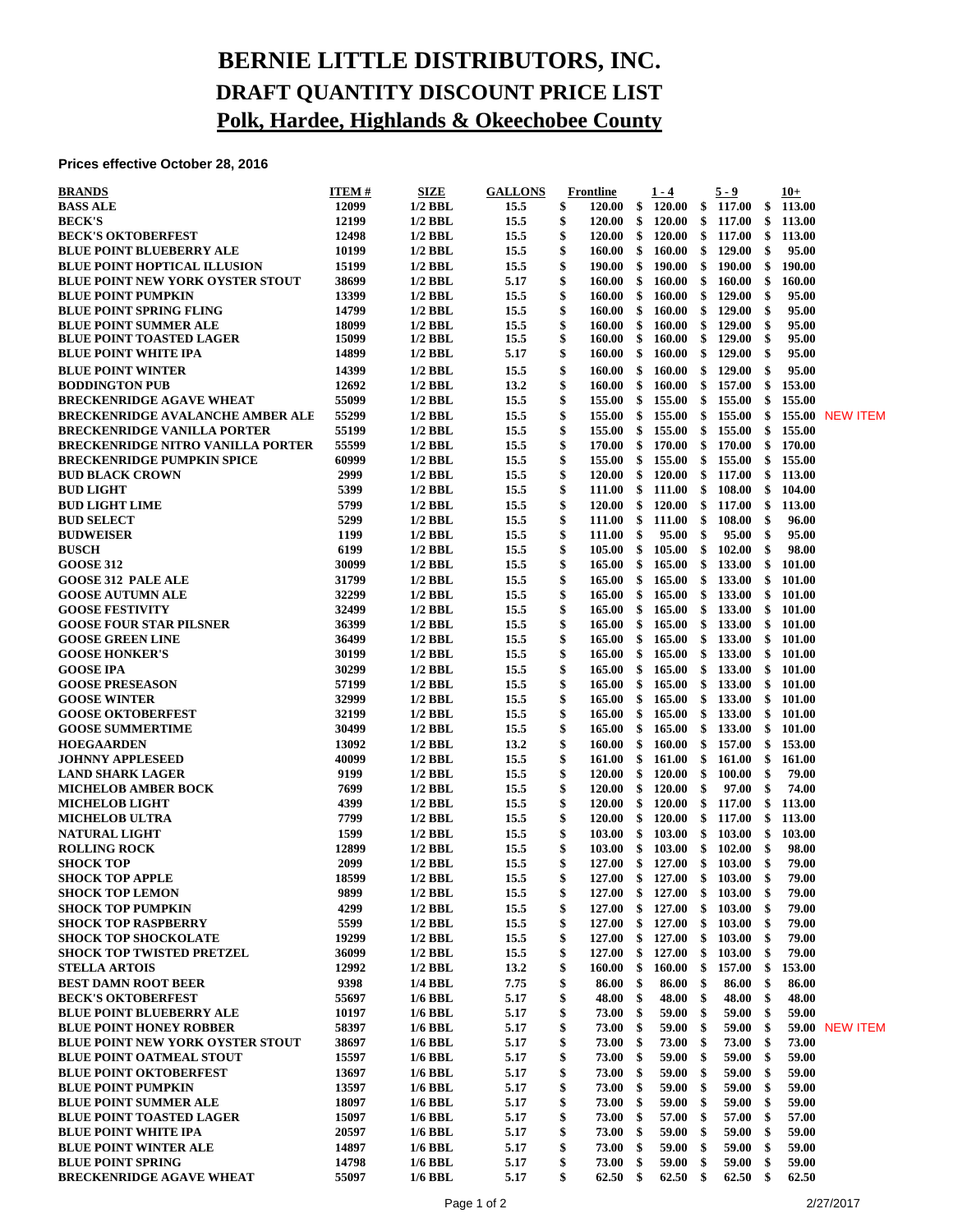## **BERNIE LITTLE DISTRIBUTORS, INC. DRAFT QUANTITY DISCOUNT PRICE LIST Polk, Hardee, Highlands & Okeechobee County**

**Prices effective October 28, 2016**

| <b>BRANDS</b>                                                                  | <b>ITEM#</b>   | <b>SIZE</b>            | <b>GALLONS</b> | Frontline                     |          | $1 - 4$                       |          | 5 - 9               |             | $10+$            |                 |
|--------------------------------------------------------------------------------|----------------|------------------------|----------------|-------------------------------|----------|-------------------------------|----------|---------------------|-------------|------------------|-----------------|
| <b>BASS ALE</b>                                                                | 12099          | $1/2$ BBL              | 15.5           | \$<br>120.00                  | \$       | 120.00                        | \$       | 117.00              | \$          | 113.00           |                 |
| <b>BECK'S</b>                                                                  | 12199          | $1/2$ BBL              | 15.5           | \$<br><b>120.00</b>           | \$       | 120.00                        | \$       | 117.00              | - \$        | 113.00           |                 |
| <b>BECK'S OKTOBERFEST</b>                                                      | 12498          | $1/2$ BBL              | 15.5           | \$<br>120.00                  | \$       | 120.00                        | \$       | 117.00              | - \$        | 113.00           |                 |
| <b>BLUE POINT BLUEBERRY ALE</b>                                                | 10199          | $1/2$ BBL              | 15.5           | \$<br>160.00                  | \$       | 160.00                        | \$       | 129.00              | -\$         | 95.00            |                 |
| <b>BLUE POINT HOPTICAL ILLUSION</b><br><b>BLUE POINT NEW YORK OYSTER STOUT</b> | 15199<br>38699 | $1/2$ BBL              | 15.5           | \$<br>190.00<br>\$            | \$       | 190.00                        | \$       | 190.00              | \$<br>\$    | 190.00           |                 |
| <b>BLUE POINT PUMPKIN</b>                                                      | 13399          | $1/2$ BBL<br>$1/2$ BBL | 5.17<br>15.5   | 160.00<br>\$<br><b>160.00</b> | \$<br>\$ | 160.00<br>160.00              | \$<br>\$ | 160.00<br>129.00    | \$          | 160.00<br>95.00  |                 |
| <b>BLUE POINT SPRING FLING</b>                                                 | 14799          | $1/2$ BBL              | 15.5           | \$<br>160.00                  | \$       | 160.00                        | \$       | 129.00              | \$          | 95.00            |                 |
| <b>BLUE POINT SUMMER ALE</b>                                                   | 18099          | $1/2$ BBL              | 15.5           | \$<br>160.00                  | \$       | 160.00                        | \$       | 129.00              | \$          | 95.00            |                 |
| <b>BLUE POINT TOASTED LAGER</b>                                                | 15099          | $1/2$ BBL              | 15.5           | \$<br>160.00                  | \$       | 160.00                        | \$       | 129.00              | \$          | 95.00            |                 |
| <b>BLUE POINT WHITE IPA</b>                                                    | 14899          | $1/2$ BBL              | 5.17           | \$<br>160.00                  | \$       | 160.00                        | \$       | 129.00              | \$          | 95.00            |                 |
| <b>BLUE POINT WINTER</b>                                                       | 14399          | $1/2$ BBL              | 15.5           | \$<br>160.00                  | \$       | 160.00                        | \$       | 129.00              | \$          | 95.00            |                 |
| <b>BODDINGTON PUB</b>                                                          | 12692          | $1/2$ BBL              | 13.2           | \$<br>160.00                  | \$       | 160.00                        | \$       | 157.00              | \$          | 153.00           |                 |
| <b>BRECKENRIDGE AGAVE WHEAT</b>                                                | 55099          | $1/2$ BBL              | 15.5           | \$<br>155.00                  | \$       | 155.00                        | \$       | 155.00              | \$          | 155.00           |                 |
| <b>BRECKENRIDGE AVALANCHE AMBER ALE</b>                                        | 55299          | $1/2$ BBL              | 15.5           | \$<br>155.00                  | \$       | 155.00                        | \$       | 155.00              | \$          |                  | 155.00 NEW ITEM |
| <b>BRECKENRIDGE VANILLA PORTER</b>                                             | 55199          | $1/2$ BBL              | 15.5           | \$<br>155.00                  | \$       | 155.00                        | \$       | 155.00              | \$          | 155.00           |                 |
| <b>BRECKENRIDGE NITRO VANILLA PORTER</b>                                       | 55599          | $1/2$ BBL              | 15.5           | \$<br><b>170.00</b>           | \$       | 170.00                        | \$       | 170.00              | \$          | 170.00           |                 |
| <b>BRECKENRIDGE PUMPKIN SPICE</b>                                              | 60999          | $1/2$ BBL              | 15.5           | \$<br>155.00                  | \$       | 155.00                        | \$       | 155.00              | \$          | 155.00           |                 |
| <b>BUD BLACK CROWN</b>                                                         | 2999           | $1/2$ BBL              | 15.5           | \$<br>120.00                  | \$       | 120.00                        | \$       | $117.00\quad$ \$    |             | 113.00           |                 |
| <b>BUD LIGHT</b>                                                               | 5399<br>5799   | $1/2$ BBL              | 15.5           | \$<br>111.00                  | \$       | 111.00                        | \$       | 108.00              | \$          | 104.00           |                 |
| <b>BUD LIGHT LIME</b><br><b>BUD SELECT</b>                                     | 5299           | $1/2$ BBL<br>$1/2$ BBL | 15.5<br>15.5   | \$<br>120.00<br>\$<br>111.00  | \$<br>\$ | 120.00<br>111.00              | \$<br>\$ | 117.00<br>108.00    | \$<br>\$    | 113.00<br>96.00  |                 |
| <b>BUDWEISER</b>                                                               | 1199           | $1/2$ BBL              | 15.5           | \$<br>111.00                  | \$       | 95.00                         | \$       | 95.00               | \$          | 95.00            |                 |
| <b>BUSCH</b>                                                                   | 6199           | $1/2$ BBL              | 15.5           | \$<br>105.00                  | \$       | 105.00                        | \$       | 102.00              | \$          | 98.00            |                 |
| <b>GOOSE 312</b>                                                               | 30099          | $1/2$ BBL              | 15.5           | \$<br>165.00                  | \$       | 165.00                        | \$       | 133.00              | \$          | 101.00           |                 |
| <b>GOOSE 312 PALE ALE</b>                                                      | 31799          | $1/2$ BBL              | 15.5           | \$<br>165.00                  | \$       | 165.00                        | \$       | 133.00              | \$          | 101.00           |                 |
| <b>GOOSE AUTUMN ALE</b>                                                        | 32299          | $1/2$ BBL              | 15.5           | \$<br>165.00                  | \$       | 165.00                        | \$       | 133.00              | \$          | 101.00           |                 |
| <b>GOOSE FESTIVITY</b>                                                         | 32499          | $1/2$ BBL              | 15.5           | \$<br>165.00                  | \$       | 165.00                        | \$       | 133.00              | -\$         | 101.00           |                 |
| <b>GOOSE FOUR STAR PILSNER</b>                                                 | 36399          | $1/2$ BBL              | 15.5           | \$<br>165.00                  | \$       | 165.00                        | \$       | $133.00\quad$ \$    |             | 101.00           |                 |
| <b>GOOSE GREEN LINE</b>                                                        | 36499          | $1/2$ BBL              | 15.5           | \$<br>165.00                  | \$       | 165.00                        | \$       | 133.00              | \$          | 101.00           |                 |
| <b>GOOSE HONKER'S</b>                                                          | 30199          | $1/2$ BBL              | 15.5           | \$<br>165.00                  | \$       | 165.00                        | \$       | 133.00              | \$          | 101.00           |                 |
| <b>GOOSE IPA</b>                                                               | 30299          | $1/2$ BBL              | 15.5           | \$<br>165.00                  | \$       | 165.00                        | \$       | 133.00              | \$          | 101.00           |                 |
| <b>GOOSE PRESEASON</b>                                                         | 57199          | $1/2$ BBL              | 15.5           | \$<br>165.00                  | \$       | 165.00                        | \$       | 133.00              | - \$        | 101.00           |                 |
| <b>GOOSE WINTER</b>                                                            | 32999          | $1/2$ BBL              | 15.5           | \$<br>165.00                  | \$       | 165.00                        | \$       | $133.00\quad$ \$    |             | 101.00           |                 |
| <b>GOOSE OKTOBERFEST</b>                                                       | 32199          | $1/2$ BBL              | 15.5           | \$<br>165.00                  | \$       | 165.00                        | \$       | 133.00              | \$          | 101.00           |                 |
| <b>GOOSE SUMMERTIME</b>                                                        | 30499          | $1/2$ BBL              | 15.5           | \$<br>165.00                  | \$       | 165.00                        | \$       | 133.00              | \$          | 101.00           |                 |
| <b>HOEGAARDEN</b><br><b>JOHNNY APPLESEED</b>                                   | 13092<br>40099 | $1/2$ BBL<br>$1/2$ BBL | 13.2<br>15.5   | \$<br>160.00<br>\$<br>161.00  | \$<br>\$ | 160.00<br>161.00              | \$<br>\$ | 157.00<br>161.00    | - \$<br>-\$ | 153.00<br>161.00 |                 |
| <b>LAND SHARK LAGER</b>                                                        | 9199           | $1/2$ BBL              | 15.5           | \$<br>120.00                  | \$       | 120.00                        | \$       | 100.00              | -\$         | 79.00            |                 |
| <b>MICHELOB AMBER BOCK</b>                                                     | 7699           | $1/2$ BBL              | 15.5           | \$<br>120.00                  | \$       | <b>120.00</b>                 | \$       | 97.00               | \$          | 74.00            |                 |
| <b>MICHELOB LIGHT</b>                                                          | 4399           | $1/2$ BBL              | 15.5           | \$<br>120.00                  | \$       | 120.00                        | \$       | 117.00              | \$          | 113.00           |                 |
| <b>MICHELOB ULTRA</b>                                                          | 7799           | $1/2$ BBL              | 15.5           | \$<br>120.00                  | \$       | 120.00                        | \$       | $117.00 \quad$ \$   |             | 113.00           |                 |
| <b>NATURAL LIGHT</b>                                                           | 1599           | $1/2$ BBL              | 15.5           | \$<br>103.00                  | \$       | 103.00                        | \$       | 103.00              | - \$        | 103.00           |                 |
| <b>ROLLING ROCK</b>                                                            | 12899          | $1/2$ BBL              | 15.5           | \$<br>103.00                  | \$       | 103.00                        | \$       | 102.00              | -\$         | 98.00            |                 |
| <b>SHOCK TOP</b>                                                               | 2099           | $1/2$ BBL              | 15.5           | \$<br>127.00                  |          | \$127.00                      |          | \$103.00            | \$          | 79.00            |                 |
| <b>SHOCK TOP APPLE</b>                                                         | 18599          | $1/2$ BBL              | 15.5           | \$                            |          | 127.00 \$ 127.00 \$ 103.00 \$ |          |                     |             | 79.00            |                 |
| <b>SHOCK TOP LEMON</b>                                                         | 9899           | $1/2$ BBL              | 15.5           | \$                            |          | 127.00 \$ 127.00 \$           |          | 103.00 <sup>°</sup> |             | 79.00            |                 |
| <b>SHOCK TOP PUMPKIN</b>                                                       | 4299           | $1/2$ BBL              | 15.5           | \$<br>127.00                  | \$       | 127.00                        | \$       | 103.00              | \$          | 79.00            |                 |
| <b>SHOCK TOP RASPBERRY</b>                                                     | 5599           | $1/2$ BBL              | 15.5           | 127.00<br>\$                  |          | \$127.00                      |          | \$103.00            | \$          | 79.00            |                 |
| <b>SHOCK TOP SHOCKOLATE</b>                                                    | 19299          | $1/2$ BBL              | 15.5           | \$<br>127.00                  | \$       | 127.00                        | \$       | 103.00              | \$          | 79.00            |                 |
| <b>SHOCK TOP TWISTED PRETZEL</b><br><b>STELLA ARTOIS</b>                       | 36099<br>12992 | $1/2$ BBL<br>$1/2$ BBL | 15.5<br>13.2   | \$<br>127.00<br>160.00<br>\$  | \$<br>\$ | 127.00<br>160.00              | \$<br>\$ | 103.00<br>157.00    | \$<br>-\$   | 79.00<br>153.00  |                 |
| <b>BEST DAMN ROOT BEER</b>                                                     | 9398           | 1/4 BBL                | 7.75           | \$<br>86.00                   | \$       | 86.00                         | \$       | 86.00               | \$          | 86.00            |                 |
| <b>BECK'S OKTOBERFEST</b>                                                      | 55697          | $1/6$ BBL              | 5.17           | 48.00<br>\$                   | \$       | 48.00                         | \$       | 48.00               | \$          | 48.00            |                 |
| <b>BLUE POINT BLUEBERRY ALE</b>                                                | 10197          | $1/6$ BBL              | 5.17           | \$<br>73.00                   | \$       | 59.00                         | \$       | 59.00               | \$          | 59.00            |                 |
| <b>BLUE POINT HONEY ROBBER</b>                                                 | 58397          | $1/6$ BBL              | 5.17           | \$<br>73.00                   | \$       | 59.00                         | \$       | 59.00               | \$          |                  | 59.00 NEW ITEM  |
| <b>BLUE POINT NEW YORK OYSTER STOUT</b>                                        | 38697          | $1/6$ BBL              | 5.17           | 73.00<br>\$                   | \$       | 73.00                         | \$       | 73.00               | \$          | 73.00            |                 |
| <b>BLUE POINT OATMEAL STOUT</b>                                                | 15597          | $1/6$ BBL              | 5.17           | \$<br>73.00                   | \$       | 59.00                         | \$       | 59.00               | \$          | 59.00            |                 |
| <b>BLUE POINT OKTOBERFEST</b>                                                  | 13697          | $1/6$ BBL              | 5.17           | \$<br>73.00                   | \$       | 59.00                         | \$       | 59.00               | \$          | 59.00            |                 |
| <b>BLUE POINT PUMPKIN</b>                                                      | 13597          | $1/6$ BBL              | 5.17           | \$<br>73.00                   | \$       | 59.00                         | \$       | 59.00               | \$          | 59.00            |                 |
| <b>BLUE POINT SUMMER ALE</b>                                                   | 18097          | $1/6$ BBL              | 5.17           | \$<br>73.00                   | \$       | 59.00                         | \$       | 59.00               | \$          | 59.00            |                 |
| <b>BLUE POINT TOASTED LAGER</b>                                                | 15097          | $1/6$ BBL              | 5.17           | 73.00<br>\$                   | \$       | 57.00                         | \$       | 57.00               | \$          | 57.00            |                 |
| <b>BLUE POINT WHITE IPA</b>                                                    | 20597          | $1/6$ BBL              | 5.17           | \$<br>73.00                   | \$       | 59.00                         | \$       | 59.00               | \$          | 59.00            |                 |
| <b>BLUE POINT WINTER ALE</b>                                                   | 14897          | $1/6$ BBL              | 5.17           | \$<br>73.00                   | \$       | 59.00                         | \$       | 59.00               | \$          | 59.00            |                 |
| <b>BLUE POINT SPRING</b>                                                       | 14798          | $1/6$ BBL              | 5.17           | \$<br>73.00                   | \$       | 59.00                         | \$       | 59.00               | \$          | 59.00            |                 |
| <b>BRECKENRIDGE AGAVE WHEAT</b>                                                | 55097          | <b>1/6 BBL</b>         | 5.17           | \$<br>62.50                   | \$       | 62.50                         | \$       | 62.50               | \$          | 62.50            |                 |